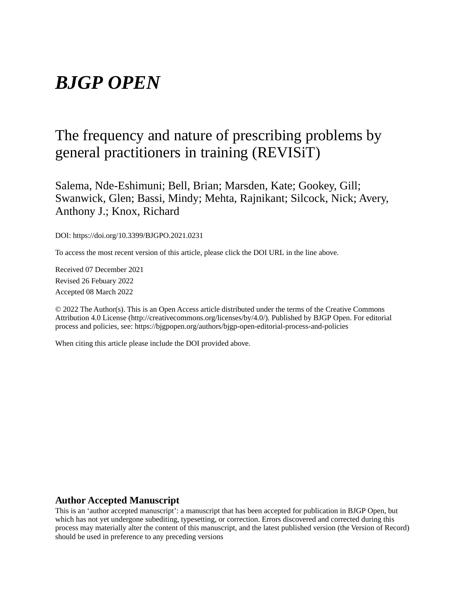# *BJGP OPEN*

## The frequency and nature of prescribing problems by general practitioners in training (REVISiT)

Salema, Nde-Eshimuni; Bell, Brian; Marsden, Kate; Gookey, Gill; Swanwick, Glen; Bassi, Mindy; Mehta, Rajnikant; Silcock, Nick; Avery, Anthony J.; Knox, Richard

DOI: https://doi.org/10.3399/BJGPO.2021.0231

To access the most recent version of this article, please click the DOI URL in the line above.

Received 07 December 2021 Revised 26 Febuary 2022 Accepted 08 March 2022

© 2022 The Author(s). This is an Open Access article distributed under the terms of the Creative Commons Attribution 4.0 License (http://creativecommons.org/licenses/by/4.0/). Published by BJGP Open. For editorial process and policies, see: https://bjgpopen.org/authors/bjgp-open-editorial-process-and-policies

When citing this article please include the DOI provided above.

#### **Author Accepted Manuscript**

This is an 'author accepted manuscript': a manuscript that has been accepted for publication in BJGP Open, but which has not yet undergone subediting, typesetting, or correction. Errors discovered and corrected during this process may materially alter the content of this manuscript, and the latest published version (the Version of Record) should be used in preference to any preceding versions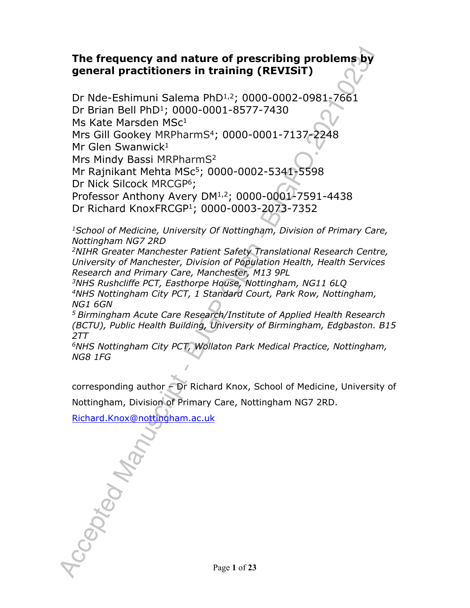## **The frequency and nature of prescribing problems by general practitioners in training (REVISiT)**

Dr Nde-Eshimuni Salema PhD1,2; 0000-0002-0981-7661 Dr Brian Bell PhD<sup>1</sup>; 0000-0001-8577-7430 Ms Kate Marsden MSc<sup>1</sup> Mrs Gill Gookey MRPharmS<sup>4</sup>; 0000-0001-7137-2248 Mr Glen Swanwick $1$ Mrs Mindy Bassi MRPharmS<sup>2</sup> Mr Rajnikant Mehta MSc<sup>5</sup>; 0000-0002-5341-5598 Dr Nick Silcock MRCGP<sup>6</sup>; Professor Anthony Avery DM<sup>1,2</sup>; 0000-0001<sup>2</sup>7591-4438 Dr Richard KnoxFRCGP<sup>1</sup>; 0000-0003-2073-7352

*<sup>1</sup>School of Medicine, University Of Nottingham, Division of Primary Care, Nottingham NG7 2RD* 

*<sup>2</sup>NIHR Greater Manchester Patient Safety Translational Research Centre, University of Manchester, Division of Population Health, Health Services Research and Primary Care, Manchester, M13 9PL*

*<sup>3</sup>NHS Rushcliffe PCT, Easthorpe House, Nottingham, NG11 6LQ <sup>4</sup>NHS Nottingham City PCT, 1 Standard Court, Park Row, Nottingham, NG1 6GN*

*<sup>5</sup>Birmingham Acute Care Research/Institute of Applied Health Research (BCTU), Public Health Building, University of Birmingham, Edgbaston. B15 2TT*

*<sup>6</sup>NHS Nottingham City PCT, Wollaton Park Medical Practice, Nottingham, NG8 1FG*

corresponding author – Dr Richard Knox, School of Medicine, University of Nottingham, Division of Primary Care, Nottingham NG7 2RD.

Richard.Knox@nottingham.ac.uk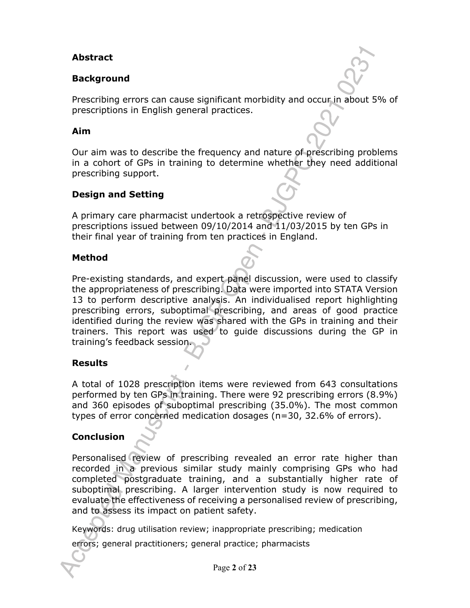## **Abstract**

### **Background**

Prescribing errors can cause significant morbidity and occur in about 5% of prescriptions in English general practices.

#### **Aim**

Our aim was to describe the frequency and nature of prescribing problems in a cohort of GPs in training to determine whether they need additional prescribing support.

### **Design and Setting**

A primary care pharmacist undertook a retrospective review of prescriptions issued between 09/10/2014 and 11/03/2015 by ten GPs in their final year of training from ten practices in England.

#### **Method**

Pre-existing standards, and expert panel discussion, were used to classify the appropriateness of prescribing. Data were imported into STATA Version 13 to perform descriptive analysis. An individualised report highlighting prescribing errors, suboptimal prescribing, and areas of good practice identified during the review was shared with the GPs in training and their trainers. This report was used to guide discussions during the GP in training's feedback session.

### **Results**

A total of 1028 prescription items were reviewed from 643 consultations performed by ten GPs in training. There were 92 prescribing errors (8.9%) and 360 episodes of suboptimal prescribing (35.0%). The most common types of error concerned medication dosages (n=30, 32.6% of errors).

### **Conclusion**

Personalised review of prescribing revealed an error rate higher than recorded in a previous similar study mainly comprising GPs who had completed postgraduate training, and a substantially higher rate of suboptimal prescribing. A larger intervention study is now required to evaluate the effectiveness of receiving a personalised review of prescribing, and to assess its impact on patient safety.

Keywords: drug utilisation review; inappropriate prescribing; medication

errors; general practitioners; general practice; pharmacists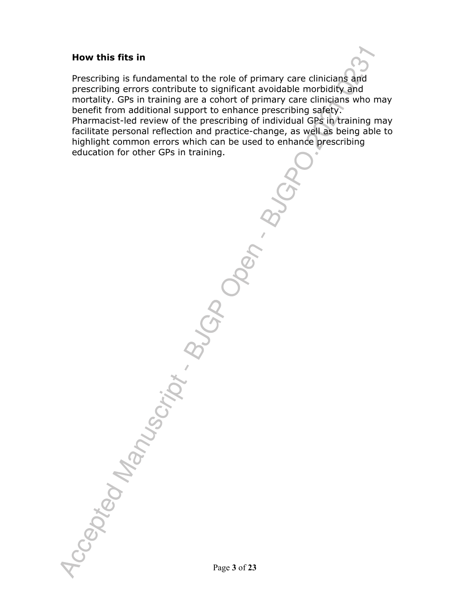#### **How this fits in**

Prescribing is fundamental to the role of primary care clinicians and prescribing errors contribute to significant avoidable morbidity and mortality. GPs in training are a cohort of primary care clinicians who may benefit from additional support to enhance prescribing safety. Pharmacist-led review of the prescribing of individual GPs in training may facilitate personal reflection and practice-change, as well as being able to highlight common errors which can be used to enhance prescribing education for other GPs in training.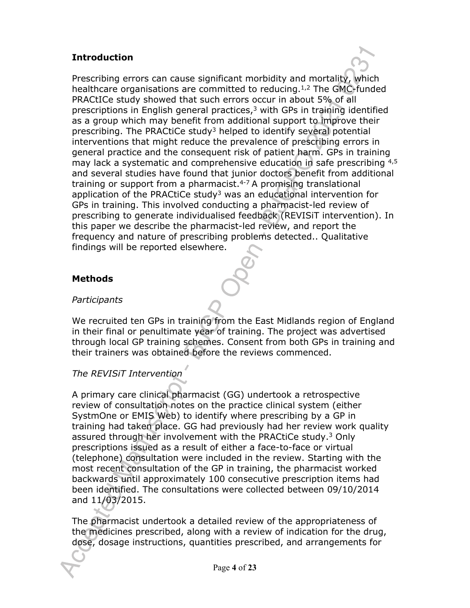### **Introduction**

Prescribing errors can cause significant morbidity and mortality, which healthcare organisations are committed to reducing.<sup>1,2</sup> The GMC-funded PRACtICe study showed that such errors occur in about 5% of all prescriptions in English general practices, $3$  with GPs in training identified as a group which may benefit from additional support to improve their prescribing. The PRACtiCe study<sup>3</sup> helped to identify several potential interventions that might reduce the prevalence of prescribing errors in general practice and the consequent risk of patient harm. GPs in training may lack a systematic and comprehensive education in safe prescribing 4,5 and several studies have found that junior doctors benefit from additional training or support from a pharmacist. $4-7$  A promising translational application of the PRACtiCe study<sup>3</sup> was an educational intervention for GPs in training. This involved conducting a pharmacist-led review of prescribing to generate individualised feedback (REVISiT intervention). In this paper we describe the pharmacist-led review, and report the frequency and nature of prescribing problems detected.. Qualitative findings will be reported elsewhere.

### **Methods**

### *Participants*

We recruited ten GPs in training from the East Midlands region of England in their final or penultimate year of training. The project was advertised through local GP training schemes. Consent from both GPs in training and their trainers was obtained before the reviews commenced.

### *The REVISiT Intervention*

A primary care clinical pharmacist (GG) undertook a retrospective review of consultation notes on the practice clinical system (either SystmOne or EMIS Web) to identify where prescribing by a GP in training had taken place. GG had previously had her review work quality assured through her involvement with the PRACtiCe study.<sup>3</sup> Only prescriptions issued as a result of either a face-to-face or virtual (telephone) consultation were included in the review. Starting with the most recent consultation of the GP in training, the pharmacist worked backwards until approximately 100 consecutive prescription items had been identified. The consultations were collected between 09/10/2014 and 11/03/2015.

The pharmacist undertook a detailed review of the appropriateness of the medicines prescribed, along with a review of indication for the drug, dose, dosage instructions, quantities prescribed, and arrangements for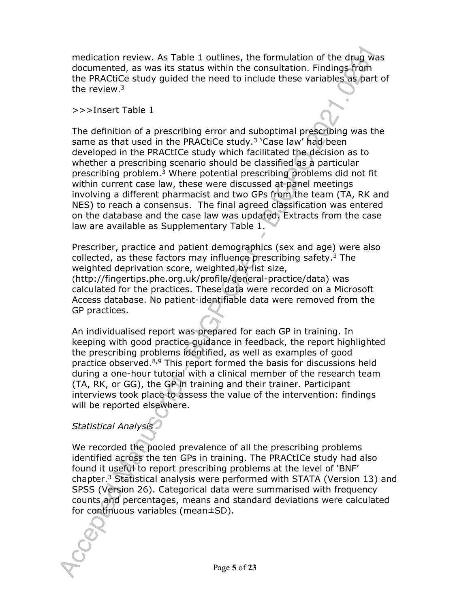medication review. As Table 1 outlines, the formulation of the drug was documented, as was its status within the consultation. Findings from the PRACtiCe study guided the need to include these variables as part of the review.<sup>3</sup>

#### >>>Insert Table 1

The definition of a prescribing error and suboptimal prescribing was the same as that used in the PRACtiCe study.<sup>3</sup> 'Case law' had been developed in the PRACtICe study which facilitated the decision as to whether a prescribing scenario should be classified as a particular prescribing problem.<sup>3</sup> Where potential prescribing problems did not fit within current case law, these were discussed at panel meetings involving a different pharmacist and two GPs from the team (TA, RK and NES) to reach a consensus. The final agreed classification was entered on the database and the case law was updated. Extracts from the case law are available as Supplementary Table 1.

Prescriber, practice and patient demographics (sex and age) were also collected, as these factors may influence prescribing safety.<sup>3</sup> The weighted deprivation score, weighted by list size, (http://fingertips.phe.org.uk/profile/general-practice/data) was calculated for the practices. These data were recorded on a Microsoft Access database. No patient-identifiable data were removed from the GP practices.

An individualised report was prepared for each GP in training. In keeping with good practice guidance in feedback, the report highlighted the prescribing problems identified, as well as examples of good practice observed.8,9 This report formed the basis for discussions held during a one-hour tutorial with a clinical member of the research team (TA, RK, or GG), the GP in training and their trainer. Participant interviews took place to assess the value of the intervention: findings will be reported elsewhere.

## *Statistical Analysis*

We recorded the pooled prevalence of all the prescribing problems identified across the ten GPs in training. The PRACtICe study had also found it useful to report prescribing problems at the level of 'BNF' chapter.<sup>3</sup> Statistical analysis were performed with STATA (Version 13) and SPSS (Version 26). Categorical data were summarised with frequency counts and percentages, means and standard deviations were calculated for continuous variables (mean±SD).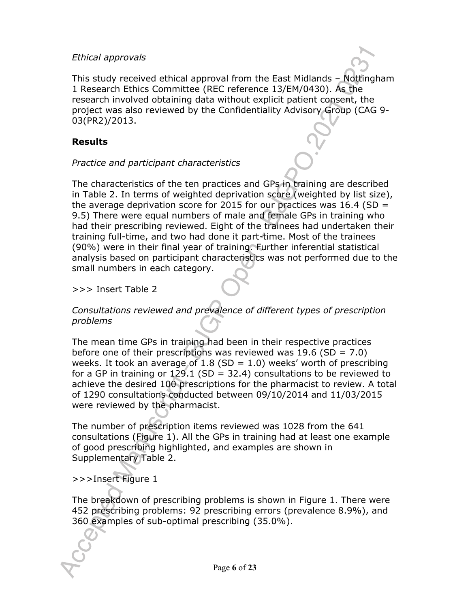#### *Ethical approvals*



This study received ethical approval from the East Midlands – Nottingham 1 Research Ethics Committee (REC reference 13/EM/0430). As the research involved obtaining data without explicit patient consent, the project was also reviewed by the Confidentiality Advisory Group (CAG 9- 03(PR2)/2013.

### **Results**

### *Practice and participant characteristics*

The characteristics of the ten practices and GPs in training are described in Table 2. In terms of weighted deprivation score (weighted by list size), the average deprivation score for 2015 for our practices was 16.4 (SD  $=$ 9.5) There were equal numbers of male and female GPs in training who had their prescribing reviewed. Eight of the trainees had undertaken their training full-time, and two had done it part-time. Most of the trainees (90%) were in their final year of training. Further inferential statistical analysis based on participant characteristics was not performed due to the small numbers in each category.

>>> Insert Table 2

## *Consultations reviewed and prevalence of different types of prescription problems*

The mean time GPs in training had been in their respective practices before one of their prescriptions was reviewed was  $19.6$  (SD = 7.0) weeks. It took an average of 1.8 (SD = 1.0) weeks' worth of prescribing for a GP in training or 129.1 (SD = 32.4) consultations to be reviewed to achieve the desired 100 prescriptions for the pharmacist to review. A total of 1290 consultations conducted between 09/10/2014 and 11/03/2015 were reviewed by the pharmacist.

The number of prescription items reviewed was 1028 from the 641 consultations (Figure 1). All the GPs in training had at least one example of good prescribing highlighted, and examples are shown in Supplementary Table 2.

## >>>Insert Figure 1

The breakdown of prescribing problems is shown in Figure 1. There were 452 prescribing problems: 92 prescribing errors (prevalence 8.9%), and 360 examples of sub-optimal prescribing (35.0%).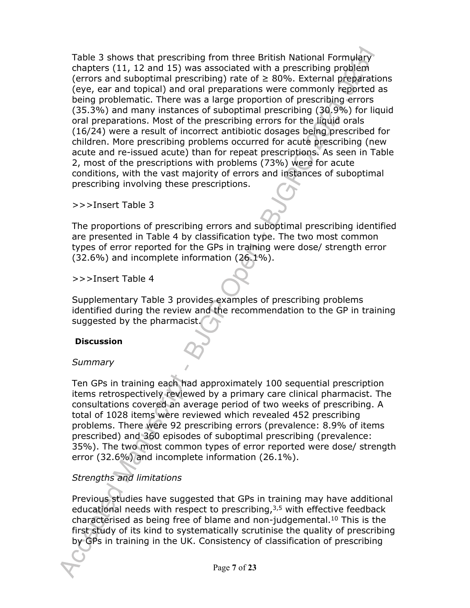Table 3 shows that prescribing from three British National Formulary chapters (11, 12 and 15) was associated with a prescribing problem (errors and suboptimal prescribing) rate of  $\geq$  80%. External preparations (eye, ear and topical) and oral preparations were commonly reported as being problematic. There was a large proportion of prescribing errors (35.3%) and many instances of suboptimal prescribing (30.9%) for liquid oral preparations. Most of the prescribing errors for the liquid orals (16/24) were a result of incorrect antibiotic dosages being prescribed for children. More prescribing problems occurred for acute prescribing (new acute and re-issued acute) than for repeat prescriptions. As seen in Table 2, most of the prescriptions with problems (73%) were for acute conditions, with the vast majority of errors and instances of suboptimal prescribing involving these prescriptions.

>>>Insert Table 3

The proportions of prescribing errors and suboptimal prescribing identified are presented in Table 4 by classification type. The two most common types of error reported for the GPs in training were dose/ strength error (32.6%) and incomplete information (26.1%).

>>>Insert Table 4

Supplementary Table 3 provides examples of prescribing problems identified during the review and the recommendation to the GP in training suggested by the pharmacist.

#### **Discussion**

#### *Summary*

Ten GPs in training each had approximately 100 sequential prescription items retrospectively reviewed by a primary care clinical pharmacist. The consultations covered an average period of two weeks of prescribing. A total of 1028 items were reviewed which revealed 452 prescribing problems. There were 92 prescribing errors (prevalence: 8.9% of items prescribed) and 360 episodes of suboptimal prescribing (prevalence: 35%). The two most common types of error reported were dose/ strength error (32.6%) and incomplete information (26.1%).

### *Strengths and limitations*

Previous studies have suggested that GPs in training may have additional educational needs with respect to prescribing,<sup>3,5</sup> with effective feedback characterised as being free of blame and non-judgemental.<sup>10</sup> This is the first study of its kind to systematically scrutinise the quality of prescribing by GPs in training in the UK. Consistency of classification of prescribing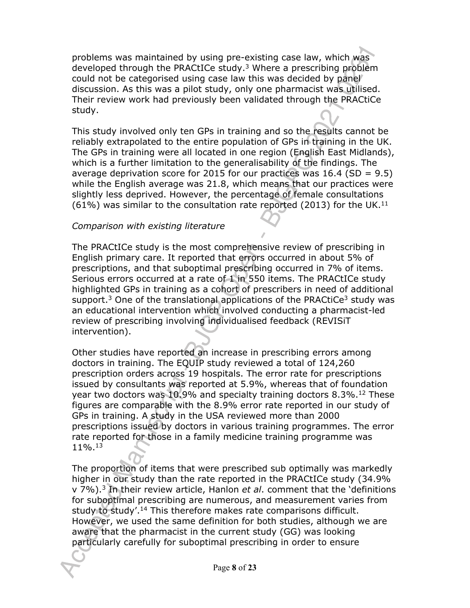problems was maintained by using pre-existing case law, which was developed through the PRACtICe study.<sup>3</sup> Where a prescribing problem could not be categorised using case law this was decided by panel discussion. As this was a pilot study, only one pharmacist was utilised. Their review work had previously been validated through the PRACtiCe study.

This study involved only ten GPs in training and so the results cannot be reliably extrapolated to the entire population of GPs in training in the UK. The GPs in training were all located in one region (English East Midlands), which is a further limitation to the generalisability of the findings. The average deprivation score for 2015 for our practices was  $16.4$  (SD = 9.5) while the English average was 21.8, which means that our practices were slightly less deprived. However, the percentage of female consultations  $(61\%)$  was similar to the consultation rate reported (2013) for the UK.<sup>11</sup>

#### *Comparison with existing literature*

The PRACtICe study is the most comprehensive review of prescribing in English primary care. It reported that errors occurred in about 5% of prescriptions, and that suboptimal prescribing occurred in 7% of items. Serious errors occurred at a rate of 1 in 550 items. The PRACtICe study highlighted GPs in training as a cohort of prescribers in need of additional support.<sup>3</sup> One of the translational applications of the PRACtiCe<sup>3</sup> study was an educational intervention which involved conducting a pharmacist-led review of prescribing involving individualised feedback (REVISiT intervention).

Other studies have reported an increase in prescribing errors among doctors in training. The EQUIP study reviewed a total of 124,260 prescription orders across 19 hospitals. The error rate for prescriptions issued by consultants was reported at 5.9%, whereas that of foundation year two doctors was 10.9% and specialty training doctors 8.3%.<sup>12</sup> These figures are comparable with the 8.9% error rate reported in our study of GPs in training. A study in the USA reviewed more than 2000 prescriptions issued by doctors in various training programmes. The error rate reported for those in a family medicine training programme was 11%.<sup>13</sup>

The proportion of items that were prescribed sub optimally was markedly higher in our study than the rate reported in the PRACtICe study (34.9% v 7%).<sup>3</sup> In their review article, Hanlon *et al*. comment that the 'definitions for suboptimal prescribing are numerous, and measurement varies from study to study'.<sup>14</sup> This therefore makes rate comparisons difficult. However, we used the same definition for both studies, although we are aware that the pharmacist in the current study (GG) was looking particularly carefully for suboptimal prescribing in order to ensure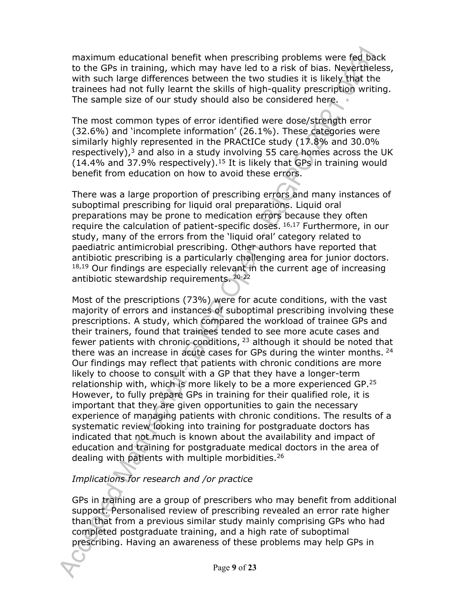maximum educational benefit when prescribing problems were fed back to the GPs in training, which may have led to a risk of bias. Nevertheless, with such large differences between the two studies it is likely that the trainees had not fully learnt the skills of high-quality prescription writing. The sample size of our study should also be considered here.

The most common types of error identified were dose/strength error (32.6%) and 'incomplete information' (26.1%). These categories were similarly highly represented in the PRACtICe study (17.8% and 30.0% respectively), $3$  and also in a study involving 55 care homes across the UK  $(14.4\%$  and 37.9% respectively).<sup>15</sup> It is likely that GPs in training would benefit from education on how to avoid these errors.

There was a large proportion of prescribing errors and many instances of suboptimal prescribing for liquid oral preparations. Liquid oral preparations may be prone to medication errors because they often require the calculation of patient-specific doses. <sup>16,17</sup> Furthermore, in our study, many of the errors from the 'liquid oral' category related to paediatric antimicrobial prescribing. Other authors have reported that antibiotic prescribing is a particularly challenging area for junior doctors.  $18,19$  Our findings are especially relevant in the current age of increasing antibiotic stewardship requirements. 20-22

Most of the prescriptions (73%) were for acute conditions, with the vast majority of errors and instances of suboptimal prescribing involving these prescriptions. A study, which compared the workload of trainee GPs and their trainers, found that trainees tended to see more acute cases and fewer patients with chronic conditions,  $23$  although it should be noted that there was an increase in acute cases for GPs during the winter months.  $24$ Our findings may reflect that patients with chronic conditions are more likely to choose to consult with a GP that they have a longer-term relationship with, which is more likely to be a more experienced GP.<sup>25</sup> However, to fully prepare GPs in training for their qualified role, it is important that they are given opportunities to gain the necessary experience of managing patients with chronic conditions. The results of a systematic review looking into training for postgraduate doctors has indicated that not much is known about the availability and impact of education and training for postgraduate medical doctors in the area of dealing with patients with multiple morbidities.<sup>26</sup>

## *Implications for research and /or practice*

GPs in training are a group of prescribers who may benefit from additional support. Personalised review of prescribing revealed an error rate higher than that from a previous similar study mainly comprising GPs who had completed postgraduate training, and a high rate of suboptimal prescribing. Having an awareness of these problems may help GPs in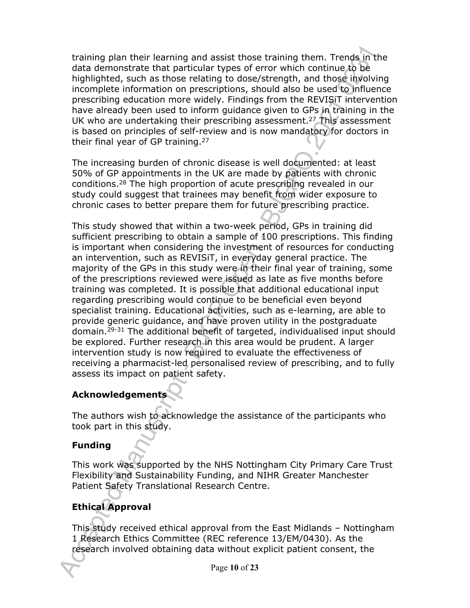training plan their learning and assist those training them. Trends in the data demonstrate that particular types of error which continue to be highlighted, such as those relating to dose/strength, and those involving incomplete information on prescriptions, should also be used to influence prescribing education more widely. Findings from the REVISiT intervention have already been used to inform guidance given to GPs in training in the UK who are undertaking their prescribing assessment.<sup>27</sup> This assessment is based on principles of self-review and is now mandatory for doctors in their final year of GP training.<sup>27</sup>

The increasing burden of chronic disease is well documented: at least 50% of GP appointments in the UK are made by patients with chronic conditions.<sup>28</sup> The high proportion of acute prescribing revealed in our study could suggest that trainees may benefit from wider exposure to chronic cases to better prepare them for future prescribing practice.

This study showed that within a two-week period, GPs in training did sufficient prescribing to obtain a sample of 100 prescriptions. This finding is important when considering the investment of resources for conducting an intervention, such as REVISiT, in everyday general practice. The majority of the GPs in this study were in their final year of training, some of the prescriptions reviewed were issued as late as five months before training was completed. It is possible that additional educational input regarding prescribing would continue to be beneficial even beyond specialist training. Educational activities, such as e-learning, are able to provide generic guidance, and have proven utility in the postgraduate domain.29-31 The additional benefit of targeted, individualised input should be explored. Further research in this area would be prudent. A larger intervention study is now required to evaluate the effectiveness of receiving a pharmacist-led personalised review of prescribing, and to fully assess its impact on patient safety.

## **Acknowledgements**

The authors wish to acknowledge the assistance of the participants who took part in this study.

## **Funding**

This work was supported by the NHS Nottingham City Primary Care Trust Flexibility and Sustainability Funding, and NIHR Greater Manchester Patient Safety Translational Research Centre.

## **Ethical Approval**

This study received ethical approval from the East Midlands – Nottingham 1 Research Ethics Committee (REC reference 13/EM/0430). As the research involved obtaining data without explicit patient consent, the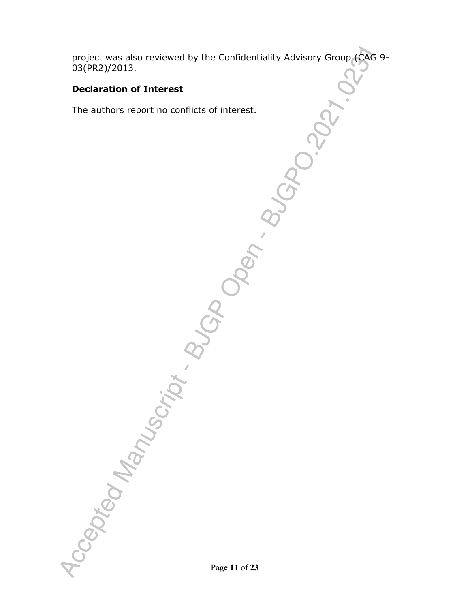project was also reviewed by the Confidentiality Advisory Group (CAG 9- 03(PR2)/2013.

## **Declaration of Interest**

The authors report no conflicts of interest.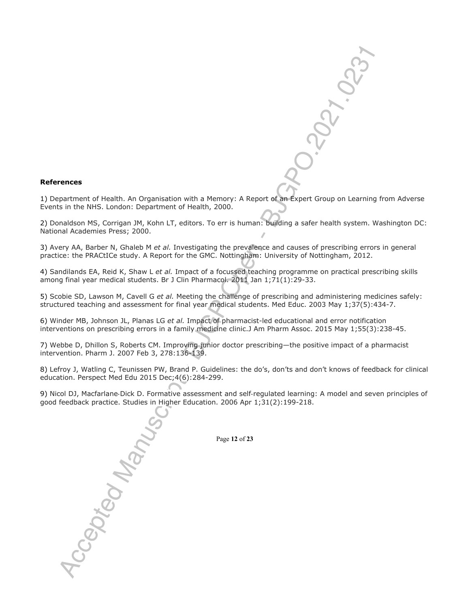#### **References**

1) Department of Health. An Organisation with a Memory: A Report of an Expert Group on Learning from Adverse Events in the NHS. London: Department of Health, 2000.

2) Donaldson MS, Corrigan JM, Kohn LT, editors. To err is human: building a safer health system. Washington DC: National Academies Press; 2000.

3) Avery AA, Barber N, Ghaleb M *et al.* Investigating the prevalence and causes of prescribing errors in general practice: the PRACtICe study. A Report for the GMC. Nottingham: University of Nottingham, 2012.

4) Sandilands EA, Reid K, Shaw L *et al.* Impact of a focussed teaching programme on practical prescribing skills among final year medical students. Br J Clin Pharmacol. 2011 Jan 1;71(1):29-33.

5) Scobie SD, Lawson M, Cavell G *et al.* Meeting the challenge of prescribing and administering medicines safely: structured teaching and assessment for final year medical students. Med Educ. 2003 May 1;37(5):434-7.

6) Winder MB, Johnson JL, Planas LG *et al.* Impact of pharmacist-led educational and error notification interventions on prescribing errors in a family medicine clinic.J Am Pharm Assoc. 2015 May 1;55(3):238-45.

7) Webbe D, Dhillon S, Roberts CM. Improving junior doctor prescribing—the positive impact of a pharmacist intervention. Pharm J. 2007 Feb 3, 278:136-139.

8) Lefroy J, Watling C, Teunissen PW, Brand P. Guidelines: the do's, don'ts and don't knows of feedback for clinical education. Perspect Med Edu 2015 Dec;4(6):284-299.

9) Nicol DJ, Macfarlane‐Dick D. Formative assessment and self‐regulated learning: A model and seven principles of good feedback practice. Studies in Higher Education. 2006 Apr 1;31(2):199-218.

Page **12** of **23**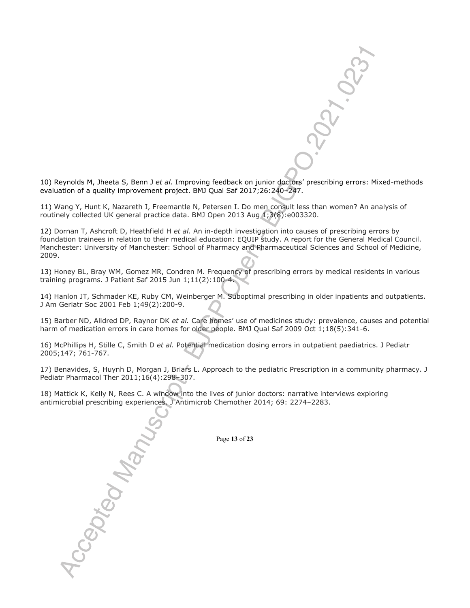

10) Reynolds M, Jheeta S, Benn J *et al.* Improving feedback on junior doctors' prescribing errors: Mixed-methods evaluation of a quality improvement project. BMJ Qual Saf 2017;26:240–247.

11) Wang Y, Hunt K, Nazareth I, Freemantle N, Petersen I. Do men consult less than women? An analysis of routinely collected UK general practice data. BMJ Open 2013 Aug 1;3(8):e003320.

12) Dornan T, Ashcroft D, Heathfield H *et al.* An in-depth investigation into causes of prescribing errors by foundation trainees in relation to their medical education: EQUIP study. A report for the General Medical Council. Manchester: University of Manchester: School of Pharmacy and Pharmaceutical Sciences and School of Medicine, 2009.

13) Honey BL, Bray WM, Gomez MR, Condren M. Frequency of prescribing errors by medical residents in various training programs. J Patient Saf 2015 Jun 1;11(2):100-4.

14) Hanlon JT, Schmader KE, Ruby CM, Weinberger M. Suboptimal prescribing in older inpatients and outpatients. J Am Geriatr Soc 2001 Feb 1;49(2):200-9.

15) Barber ND, Alldred DP, Raynor DK *et al.* Care homes' use of medicines study: prevalence, causes and potential harm of medication errors in care homes for older people. BMJ Qual Saf 2009 Oct 1;18(5):341-6.

16) McPhillips H, Stille C, Smith D *et al.* Potential medication dosing errors in outpatient paediatrics. J Pediatr 2005;147; 761-767.

17) Benavides, S, Huynh D, Morgan J, Briars L. Approach to the pediatric Prescription in a community pharmacy. J Pediatr Pharmacol Ther 2011;16(4):298–307.

18) Mattick K, Kelly N, Rees C. A window into the lives of junior doctors: narrative interviews exploring antimicrobial prescribing experiences. J Antimicrob Chemother 2014; 69: 2274–2283.

Page **13** of **23**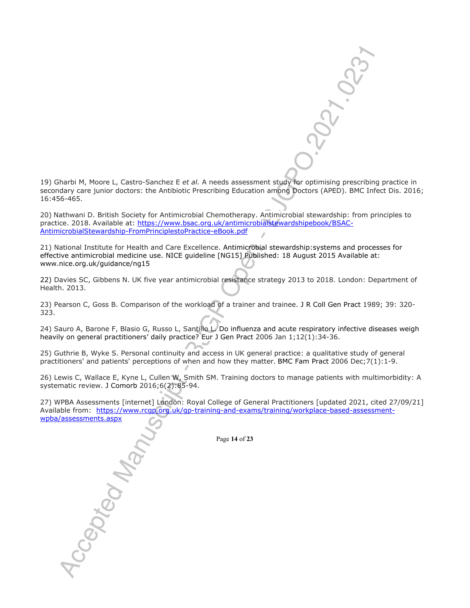19) Gharbi M, Moore L, Castro-Sanchez E *et al.* A needs assessment study for optimising prescribing practice in secondary care junior doctors: the Antibiotic Prescribing Education among Doctors (APED). BMC Infect Dis. 2016; 16:456-465.

20) Nathwani D. British Society for Antimicrobial Chemotherapy. Antimicrobial stewardship: from principles to practice. 2018. Available at: https://www.bsac.org.uk/antimicrobialstewardshipebook/BSAC-AntimicrobialStewardship-FromPrinciplestoPractice-eBook.pdf

21) National Institute for Health and Care Excellence. Antimicrobial stewardship:systems and processes for effective antimicrobial medicine use. NICE guideline [NG15] Published: 18 August 2015 Available at: www.nice.org.uk/guidance/ng15

22) Davies SC, Gibbens N. UK five year antimicrobial resistance strategy 2013 to 2018. London: Department of Health. 2013.

23) Pearson C, Goss B. Comparison of the workload of a trainer and trainee. J R Coll Gen Pract 1989; 39: 320- 323.

24) Sauro A, Barone F, Blasio G, Russo L, Santillo L. Do influenza and acute respiratory infective diseases weigh heavily on general practitioners' daily practice? Eur J Gen Pract 2006 Jan 1;12(1):34-36.

25) Guthrie B, Wyke S. Personal continuity and access in UK general practice: a qualitative study of general practitioners' and patients' perceptions of when and how they matter. BMC Fam Pract 2006 Dec;7(1):1-9.

26) Lewis C, Wallace E, Kyne L, Cullen W, Smith SM. Training doctors to manage patients with multimorbidity: A systematic review. J Comorb 2016;6(2):85-94.

27) WPBA Assessments [internet] London: Royal College of General Practitioners [updated 2021, cited 27/09/21] Available from: https://www.rcgp.org.uk/gp-training-and-exams/training/workplace-based-assessmentwpba/assessments.aspx

Page **14** of **23**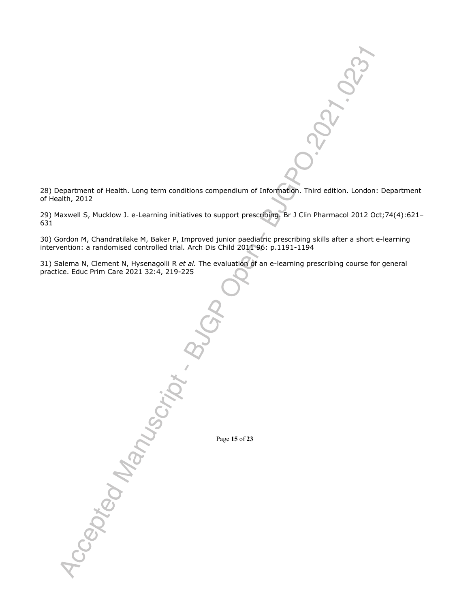

28) Department of Health. Long term conditions compendium of Information. Third edition. London: Department of Health, 2012

29) Maxwell S, Mucklow J. e-Learning initiatives to support prescribing. Br J Clin Pharmacol 2012 Oct;74(4):621– 631

30) Gordon M, Chandratilake M, Baker P, Improved junior paediatric prescribing skills after a short e-learning intervention: a randomised controlled trial*.* Arch Dis Child 2011 96: p.1191-1194

31) Salema N, Clement N, Hysenagolli R *et al.* The evaluation of an e-learning prescribing course for general practice. Educ Prim Care 2021 32:4, 219-225

Page **15** of **23**

Accepted Manuscript . B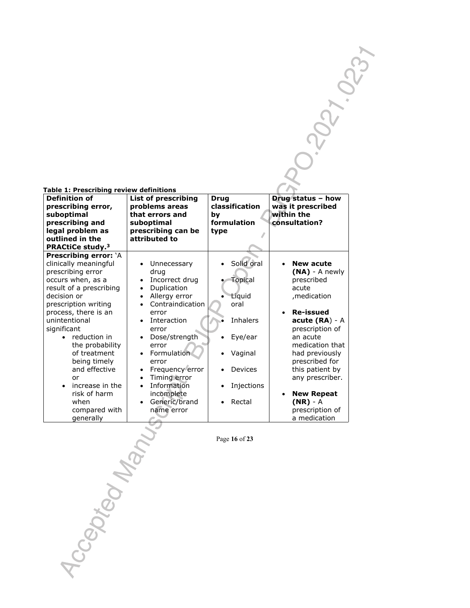| Table 1: Prescribing review definitions                      |                                              |                        |                                        |  |
|--------------------------------------------------------------|----------------------------------------------|------------------------|----------------------------------------|--|
| <b>Definition of</b><br>prescribing error,                   | <b>List of prescribing</b><br>problems areas | Drug<br>classification | Drug status - how<br>was it prescribed |  |
| suboptimal<br>prescribing and                                | that errors and<br>suboptimal                | bv<br>formulation      | within the<br>consultation?            |  |
| legal problem as<br>outlined in the                          | prescribing can be<br>attributed to          | type                   |                                        |  |
| <b>PRACtiCe study.</b> <sup>3</sup><br>Prescribing error: `A |                                              |                        |                                        |  |
| clinically meaningful                                        | Unnecessary                                  | Solid oral             | <b>New acute</b>                       |  |
| prescribing error<br>occurs when, as a                       | drug<br>Incorrect drug                       | <b>Topical</b>         | $(NA)$ - A newly<br>prescribed         |  |
| result of a prescribing<br>decision or                       | Duplication<br>Allergy error<br>$\bullet$    | Liquid                 | acute<br>, medication                  |  |
| prescription writing                                         | Contraindication<br>$\bullet$                | oral                   |                                        |  |
| process, there is an<br>unintentional                        | error<br>Interaction<br>$\bullet$            | Inhalers               | <b>Re-issued</b><br>$acute (RA) - A$   |  |
| significant                                                  | error                                        |                        | prescription of                        |  |
| reduction in<br>the probability                              | • Dose/strength<br>error                     | Eye/ear<br>$\bullet$   | an acute<br>medication that            |  |
| of treatment                                                 | • Formulation                                | Vaginal                | had previously                         |  |
| being timely<br>and effective                                | error<br>Frequency error                     | <b>Devices</b>         | prescribed for<br>this patient by      |  |
| or<br>increase in the                                        | Timing error                                 |                        | any prescriber.                        |  |
| risk of harm                                                 | Information<br>incomplete                    | Injections             | <b>New Repeat</b>                      |  |
| when                                                         | Generic/brand                                | Rectal                 | $(NR) - A$                             |  |
| compared with<br>generally                                   | name error                                   |                        | prescription of<br>a medication        |  |

Page **16** of **23**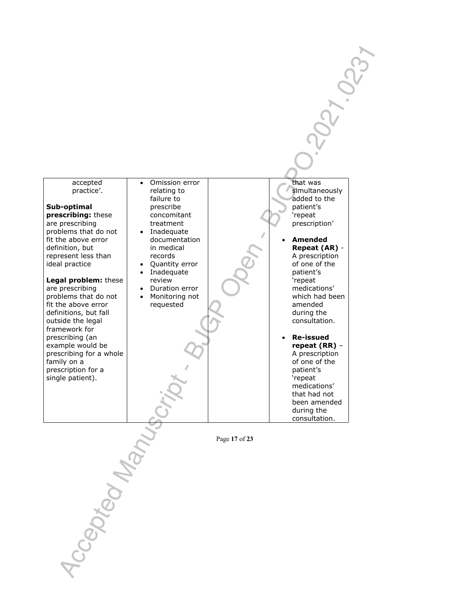accepted practice'.

**Sub-optimal prescribing:** these are prescribing problems that do not fit the above error definition, but represent less than ideal practice

**Legal problem:** these

are prescribing problems that do not fit the above error definitions, but fall outside the legal framework for prescribing (an example would be prescribing for a whole family on a prescription for a single patient).

• Omission error relating to failure to prescribe concomitant treatment Inadequate

- documentation in medical records
- Quantity error Inadequate
- review Duration error
- Monitoring not requested

that was simultaneously added to the patient's 'repeat prescription'

**<1.0237** 

 **Amended Repeat (AR)** - A prescription of one of the patient's 'repeat medications' which had been amended during the consultation. **Re-issued repeat (RR)** – A prescription of one of the patient's 'repeat medications'

> that had not been amended during the consultation.

Page **17** of **23**

Accepted Manuscr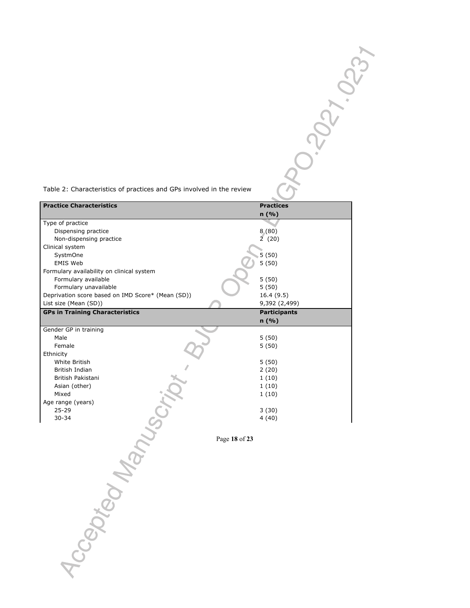| Table 2: Characteristics of practices and GPs involved in the review |  |
|----------------------------------------------------------------------|--|

| Table 2: Characteristics of practices and GPs involved in the review       |                           |  |
|----------------------------------------------------------------------------|---------------------------|--|
| <b>Practice Characteristics</b>                                            | <b>Practices</b><br>n (%) |  |
| Type of practice                                                           |                           |  |
| Dispensing practice<br>Non-dispensing practice                             | 8(80)<br>2(20)            |  |
| Clinical system                                                            |                           |  |
| SystmOne<br>EMIS Web                                                       | 5(50)<br>5(50)            |  |
| Formulary availability on clinical system                                  |                           |  |
| Formulary available                                                        | 5(50)<br>5(50)            |  |
| Formulary unavailable<br>Deprivation score based on IMD Score* (Mean (SD)) | 16.4 (9.5)                |  |
| List size (Mean (SD))                                                      | 9,392 (2,499)             |  |
|                                                                            |                           |  |
| <b>GPs in Training Characteristics</b>                                     | <b>Participants</b>       |  |
|                                                                            | n (%)                     |  |
| Gender GP in training<br>Male                                              | 5(50)                     |  |
| Female                                                                     | 5(50)                     |  |
| Ethnicity<br>White British                                                 |                           |  |
| British Indian                                                             | 5(50)<br>2(20)            |  |
| British Pakistani                                                          | 1(10)                     |  |
|                                                                            | 1(10)                     |  |
| Age range (years)                                                          | 1(10)                     |  |
|                                                                            | 3(30)                     |  |
|                                                                            | 4(40)                     |  |
|                                                                            | Page 18 of 23             |  |
|                                                                            |                           |  |
|                                                                            |                           |  |
|                                                                            |                           |  |
|                                                                            |                           |  |
|                                                                            |                           |  |
|                                                                            |                           |  |
|                                                                            |                           |  |
|                                                                            |                           |  |
|                                                                            |                           |  |
| Iccepted Manuscrip                                                         |                           |  |
|                                                                            |                           |  |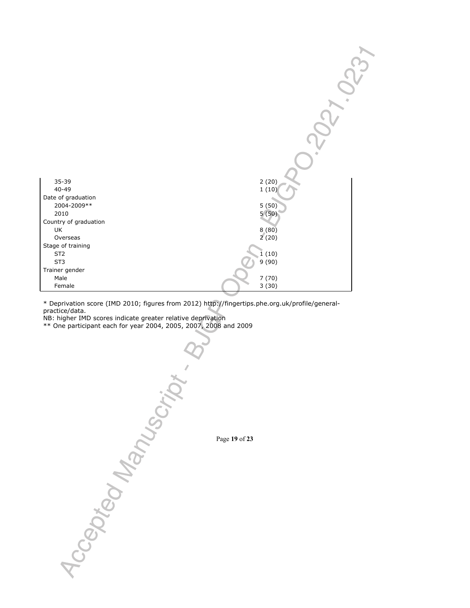

\* Deprivation score (IMD 2010; figures from 2012) http://fingertips.phe.org.uk/profile/generalpractice/data.

NB: higher IMD scores indicate greater relative deprivation

\*\* One participant each for year 2004, 2005, 2007, 2008 and 2009

**10 POTOM**<br>POTOM RANUSORY, PRESIDENT PORT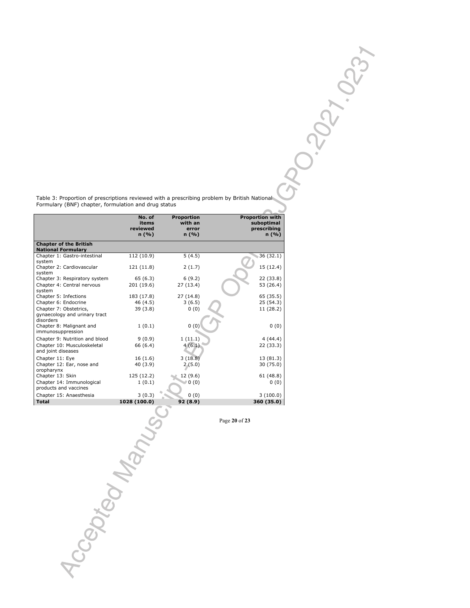Table 3: Proportion of prescriptions reviewed with a prescribing problem by British National<br>Formulary (BNF) chapter, formulation and drug status Formulary (BNF) chapter, formulation and drug status

|                                                                      | No. of<br>items<br>reviewed<br>n (%) | <b>Proportion</b><br>with an<br>error<br>n (%) | <b>Proportion with</b><br>suboptimal<br>prescribing<br>n (%) |
|----------------------------------------------------------------------|--------------------------------------|------------------------------------------------|--------------------------------------------------------------|
| <b>Chapter of the British</b><br><b>National Formulary</b>           |                                      |                                                |                                                              |
| Chapter 1: Gastro-intestinal<br>system                               | 112 (10.9)                           | 5(4.5)                                         | 36 (32.1)                                                    |
| Chapter 2: Cardiovascular<br>system                                  | 121 (11.8)                           | 2(1.7)                                         | 15 (12.4)                                                    |
| Chapter 3: Respiratory system                                        | 65 (6.3)                             | 6(9.2)                                         | 22 (33.8)                                                    |
| Chapter 4: Central nervous<br>system                                 | 201 (19.6)                           | 27 (13.4)                                      | 53 (26.4)                                                    |
| Chapter 5: Infections<br>Chapter 6: Endocrine                        | 183 (17.8)<br>46 (4.5)               | 27(14.8)<br>3(6.5)                             | 65 (35.5)<br>25 (54.3)                                       |
| Chapter 7: Obstetrics,<br>gynaecology and urinary tract<br>disorders | 39 (3.8)                             | 0(0)                                           | 11 (28.2)                                                    |
| Chapter 8: Malignant and<br>immunosuppression                        | 1(0.1)                               | 0(0)                                           | 0(0)                                                         |
| Chapter 9: Nutrition and blood                                       | 9(0.9)                               | 1(11.1)                                        | 4(44.4)                                                      |
| Chapter 10: Musculoskeletal<br>and joint diseases                    | 66 (6.4)                             | 4(6.1)                                         | 22 (33.3)                                                    |
| Chapter 11: Eye                                                      | 16(1.6)                              | 3(18.8)                                        | 13 (81.3)                                                    |
| Chapter 12: Ear, nose and<br>oropharynx                              | 40 (3.9)                             | 2(5.0)                                         | 30 (75.0)                                                    |
| Chapter 13: Skin<br>Chapter 14: Immunological                        | 125 (12.2)                           | 12 (9.6)                                       | 61 (48.8)                                                    |
| products and vaccines                                                | 1(0.1)                               | 0(0)                                           | 0(0)                                                         |
| Chapter 15: Anaesthesia<br><b>Total</b>                              | 3(0.3)<br>1028 (100.0)               | 0(0)                                           | 3(100.0)                                                     |
|                                                                      |                                      | 92 (8.9)                                       | 360 (35.0)                                                   |
|                                                                      |                                      |                                                | Page 20 of 23                                                |
|                                                                      |                                      |                                                |                                                              |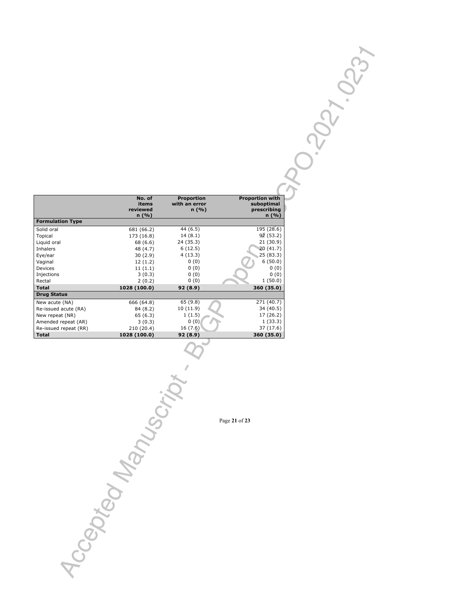| No. of       | Proportion       |                        |
|--------------|------------------|------------------------|
|              |                  | <b>Proportion with</b> |
| items        | with an error    | suboptimal             |
|              |                  | prescribing            |
|              |                  | n (%)                  |
|              |                  |                        |
| 681 (66.2)   | 44 (6.5)         | 195 (28.6)             |
| 173 (16.8)   | 14(8.1)          | 92 (53.2)              |
| 68 (6.6)     | 24 (35.3)        | 21(30.9)               |
| 48 (4.7)     | 6(12.5)          | 20(41.7)               |
| 30(2.9)      | 4(13.3)          | 25(83.3)               |
| 12(1.2)      | 0(0)             | 6(50.0)                |
| 11(1.1)      | 0(0)             | 0(0)                   |
| 3(0.3)       | 0(0)             | 0(0)                   |
| 2(0.2)       | 0(0)             | 1(50.0)                |
| 1028 (100.0) | 92(8.9)          | 360 (35.0)             |
|              |                  |                        |
| 666 (64.8)   | 65 (9.8)         | 271 (40.7)             |
| 84 (8.2)     | 10 (11.9)        | 34 (40.5)              |
| 65(6.3)      | 1(1.5)           | 17 (26.2)              |
| 3(0.3)       | 0(0)             | 1(33.3)                |
| 210 (20.4)   | 16 (7.6)         | 37 (17.6)              |
| 1028 (100.0) | 92(8.9)          | 360 (35.0)             |
|              | reviewed<br>n(%) | n(%)                   |

Page **21** of **23**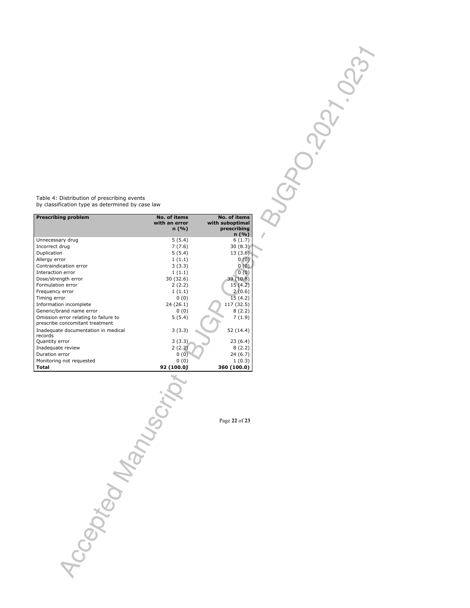Table 4: Distribution of prescribing events by classification type as determined by case law

| <b>Prescribing problem</b>                                               | No. of items<br>with an error<br>n(%) | No. of items<br>with suboptimal<br>prescribing<br>n(%) |
|--------------------------------------------------------------------------|---------------------------------------|--------------------------------------------------------|
| Unnecessary drug                                                         | 5(5.4)                                | 6(1.7)                                                 |
| Incorrect drug                                                           | 7(7.6)                                | 30(8.3)                                                |
| Duplication                                                              | 5(5.4)                                | 13(3.6)                                                |
| Allergy error                                                            | 1(1.1)                                | 0(0)                                                   |
| Contraindication error                                                   | 3(3.3)                                | 0(0)                                                   |
| Interaction error                                                        | 1(1.1)                                | 0(0)                                                   |
| Dose/strength error                                                      | 30 (32.6)                             | 39 (10.8)                                              |
| Formulation error                                                        | 2(2.2)                                | 15(4.2)                                                |
| Frequency error                                                          | 1(1.1)                                | 2(0.6)                                                 |
| Timing error                                                             | 0(0)                                  | 15(4.2)                                                |
| Information incomplete                                                   | 24 (26.1)                             | 117 (32.5)                                             |
| Generic/brand name error                                                 | 0(0)                                  | 8(2.2)                                                 |
| Omission error relating to failure to<br>prescribe concomitant treatment | 5(5.4)                                | 7(1.9)                                                 |
| Inadequate documentation in medical<br>records                           | 3(3.3)                                | 52 (14.4)                                              |
| Quantity error                                                           | 3(3.3)                                | 23(6.4)                                                |
| Inadequate review                                                        | 2(2.2)                                | 8(2.2)                                                 |
| Duration error                                                           | 0(0)                                  | 24 (6.7)                                               |
| Monitoring not requested                                                 | 0(0)                                  | 1(0.3)                                                 |
| Total                                                                    | 92 (100.0)                            | 360 (100.0)                                            |

Page **22** of **23**